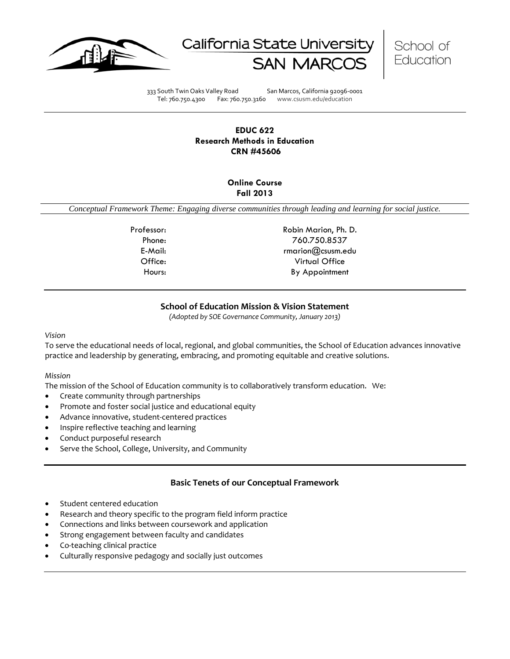





333 South Twin Oaks Valley Road San Marcos, California 92096-0001 Tel: 760.750.4300 Fax: 760.750.3160 www.csusm.edu/education

# **EDUC 622 Research Methods in Education CRN #45606**

# **Online Course Fall 2013**

*Conceptual Framework Theme: Engaging diverse communities through leading and learning for social justice.*

Professor: Robin Marion, Ph. D. Phone: 760.750.8537 E-Mail: The Contract of the Contract of the Contract of the Contract of the Contract of the Contract of the Contract of the Contract of the Contract of the Contract of the Contract of the Contract of the Contract of the Co Office: Virtual Office Hours: By Appointment

# **School of Education Mission & Vision Statement**

*(Adopted by SOE Governance Community, January 2013)*

## <span id="page-0-0"></span>*Vision*

To serve the educational needs of local, regional, and global communities, the School of Education advances innovative practice and leadership by generating, embracing, and promoting equitable and creative solutions.

## *Mission*

The mission of the School of Education community is to collaboratively transform education. We:

- Create community through partnerships
- Promote and foster social justice and educational equity
- Advance innovative, student-centered practices
- Inspire reflective teaching and learning
- Conduct purposeful research
- Serve the School, College, University, and Community

# **Basic Tenets of our Conceptual Framework**

- <span id="page-0-1"></span>Student centered education
- Research and theory specific to the program field inform practice
- Connections and links between coursework and application
- Strong engagement between faculty and candidates
- Co-teaching clinical practice
- Culturally responsive pedagogy and socially just outcomes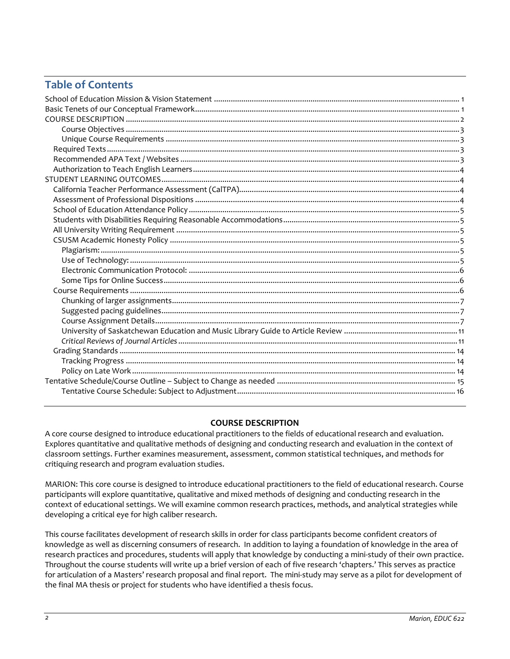# **Table of Contents**

# **COURSE DESCRIPTION**

<span id="page-1-0"></span>A core course designed to introduce educational practitioners to the fields of educational research and evaluation. Explores quantitative and qualitative methods of designing and conducting research and evaluation in the context of classroom settings. Further examines measurement, assessment, common statistical techniques, and methods for critiquing research and program evaluation studies.

MARION: This core course is designed to introduce educational practitioners to the field of educational research. Course participants will explore quantitative, qualitative and mixed methods of designing and conducting research in the context of educational settings. We will examine common research practices, methods, and analytical strategies while developing a critical eye for high caliber research.

<span id="page-1-1"></span>This course facilitates development of research skills in order for class participants become confident creators of knowledge as well as discerning consumers of research. In addition to laying a foundation of knowledge in the area of research practices and procedures, students will apply that knowledge by conducting a mini-study of their own practice. Throughout the course students will write up a brief version of each of five research 'chapters.' This serves as practice for articulation of a Masters' research proposal and final report. The mini-study may serve as a pilot for development of the final MA thesis or project for students who have identified a thesis focus.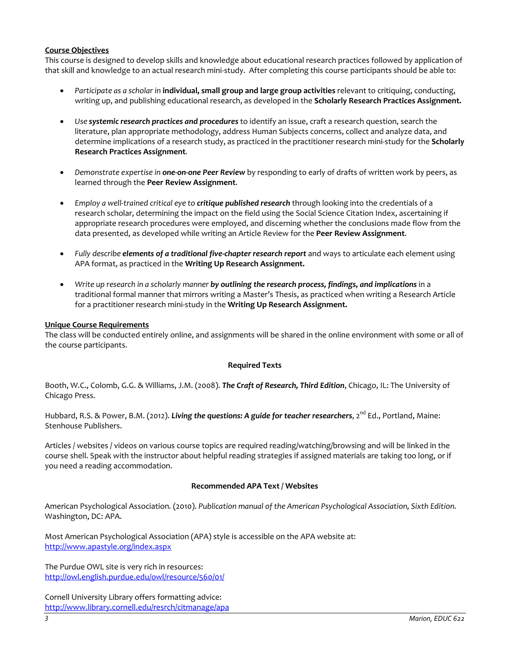## **Course Objectives**

This course is designed to develop skills and knowledge about educational research practices followed by application of that skill and knowledge to an actual research mini-study. After completing this course participants should be able to:

- *Participate as a scholar in* **individual, small group and large group activities** relevant to critiquing, conducting, writing up, and publishing educational research, as developed in the **Scholarly Research Practices Assignment.**
- *Use systemic research practices and procedures* to identify an issue, craft a research question, search the literature, plan appropriate methodology, address Human Subjects concerns, collect and analyze data, and determine implications of a research study, as practiced in the practitioner research mini-study for the **Scholarly Research Practices Assignment***.*
- *Demonstrate expertise in one-on-one Peer Review* by responding to early of drafts of written work by peers, as learned through the **Peer Review Assignment**.
- *Employ a well-trained critical eye to critique published research* through looking into the credentials of a research scholar, determining the impact on the field using the Social Science Citation Index, ascertaining if appropriate research procedures were employed, and discerning whether the conclusions made flow from the data presented, as developed while writing an Article Review for the **Peer Review Assignment**.
- Fully describe **elements of a traditional five-chapter research report** and ways to articulate each element using APA format, as practiced in the **Writing Up Research Assignment.**
- *Write up research in a scholarly manner by outlining the research process, findings, and implications* in a traditional formal manner that mirrors writing a Master's Thesis, as practiced when writing a Research Article for a practitioner research mini-study in the **Writing Up Research Assignment.**

## <span id="page-2-0"></span>**Unique Course Requirements**

The class will be conducted entirely online, and assignments will be shared in the online environment with some or all of the course participants.

## **Required Texts**

<span id="page-2-1"></span>Booth, W.C., Colomb, G.G. & Williams, J.M. (2008). *The Craft of Research, Third Edition*, Chicago, IL: The University of Chicago Press.

Hubbard, R.S. & Power, B.M. (2012). *Living the questions: A guide for teacher researchers*, 2<sup>nd</sup> Ed., Portland. Maine: Stenhouse Publishers.

Articles / websites / videos on various course topics are required reading/watching/browsing and will be linked in the course shell. Speak with the instructor about helpful reading strategies if assigned materials are taking too long, or if you need a reading accommodation.

## **Recommended APA Text / Websites**

<span id="page-2-2"></span>American Psychological Association*.* (2010). *Publication manual of the American Psychological Association, Sixth Edition.* Washington, DC: APA.

Most American Psychological Association (APA) style is accessible on the APA website at: <http://www.apastyle.org/index.aspx>

The Purdue OWL site is very rich in resources: <http://owl.english.purdue.edu/owl/resource/560/01/>

Cornell University Library offers formatting advice: <http://www.library.cornell.edu/resrch/citmanage/apa>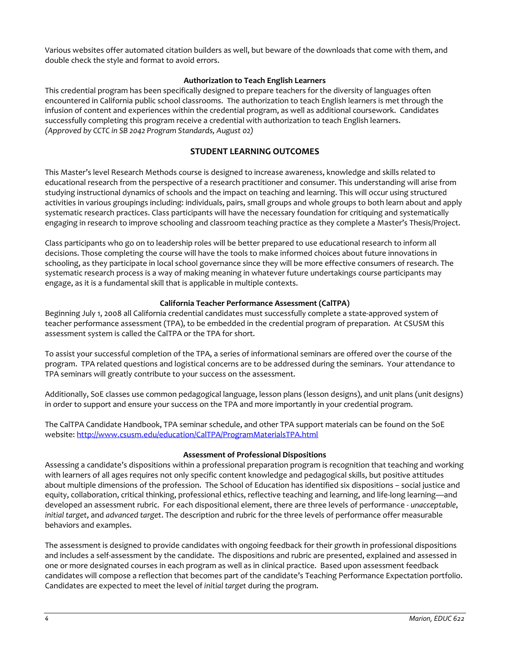Various websites offer automated citation builders as well, but beware of the downloads that come with them, and double check the style and format to avoid errors.

## **Authorization to Teach English Learners**

<span id="page-3-0"></span>This credential program has been specifically designed to prepare teachers for the diversity of languages often encountered in California public school classrooms. The authorization to teach English learners is met through the infusion of content and experiences within the credential program, as well as additional coursework. Candidates successfully completing this program receive a credential with authorization to teach English learners. *(Approved by CCTC in SB 2042 Program Standards, August 02)*

# **STUDENT LEARNING OUTCOMES**

<span id="page-3-1"></span>This Master's level Research Methods course is designed to increase awareness, knowledge and skills related to educational research from the perspective of a research practitioner and consumer. This understanding will arise from studying instructional dynamics of schools and the impact on teaching and learning. This will occur using structured activities in various groupings including: individuals, pairs, small groups and whole groups to both learn about and apply systematic research practices. Class participants will have the necessary foundation for critiquing and systematically engaging in research to improve schooling and classroom teaching practice as they complete a Master's Thesis/Project.

Class participants who go on to leadership roles will be better prepared to use educational research to inform all decisions. Those completing the course will have the tools to make informed choices about future innovations in schooling, as they participate in local school governance since they will be more effective consumers of research. The systematic research process is a way of making meaning in whatever future undertakings course participants may engage, as it is a fundamental skill that is applicable in multiple contexts.

## **California Teacher Performance Assessment (CalTPA)**

<span id="page-3-2"></span>Beginning July 1, 2008 all California credential candidates must successfully complete a state-approved system of teacher performance assessment (TPA), to be embedded in the credential program of preparation. At CSUSM this assessment system is called the CalTPA or the TPA for short.

To assist your successful completion of the TPA, a series of informational seminars are offered over the course of the program. TPA related questions and logistical concerns are to be addressed during the seminars. Your attendance to TPA seminars will greatly contribute to your success on the assessment.

Additionally, SoE classes use common pedagogical language, lesson plans (lesson designs), and unit plans (unit designs) in order to support and ensure your success on the TPA and more importantly in your credential program.

The CalTPA Candidate Handbook, TPA seminar schedule, and other TPA support materials can be found on the SoE website: <http://www.csusm.edu/education/CalTPA/ProgramMaterialsTPA.html>

## **Assessment of Professional Dispositions**

<span id="page-3-3"></span>Assessing a candidate's dispositions within a professional preparation program is recognition that teaching and working with learners of all ages requires not only specific content knowledge and pedagogical skills, but positive attitudes about multiple dimensions of the profession. The School of Education has identified six dispositions – social justice and equity, collaboration, critical thinking, professional ethics, reflective teaching and learning, and life-long learning—and developed an assessment rubric. For each dispositional element, there are three levels of performance - *unacceptable*, *initial target*, and *advanced target*. The description and rubric for the three levels of performance offer measurable behaviors and examples.

<span id="page-3-4"></span>The assessment is designed to provide candidates with ongoing feedback for their growth in professional dispositions and includes a self-assessment by the candidate. The dispositions and rubric are presented, explained and assessed in one or more designated courses in each program as well as in clinical practice. Based upon assessment feedback candidates will compose a reflection that becomes part of the candidate's Teaching Performance Expectation portfolio. Candidates are expected to meet the level of *initial target* during the program.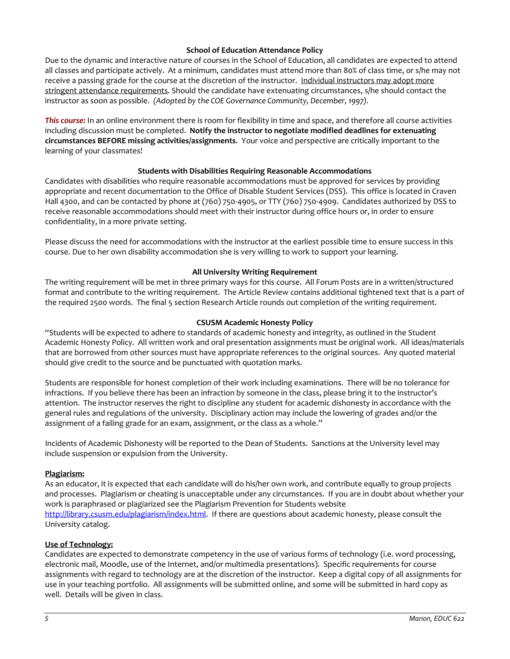## **School of Education Attendance Policy**

Due to the dynamic and interactive nature of courses in the School of Education, all candidates are expected to attend all classes and participate actively. At a minimum, candidates must attend more than 80% of class time, or s/he may not receive a passing grade for the course at the discretion of the instructor. Individual instructors may adopt more stringent attendance requirements. Should the candidate have extenuating circumstances, s/he should contact the instructor as soon as possible. *(Adopted by the COE Governance Community, December, 1997).*

*This course:* In an online environment there is room for flexibility in time and space, and therefore all course activities including discussion must be completed. **Notify the instructor to negotiate modified deadlines for extenuating circumstances BEFORE missing activities/assignments**. Your voice and perspective are critically important to the learning of your classmates!

## **Students with Disabilities Requiring Reasonable Accommodations**

<span id="page-4-0"></span>Candidates with disabilities who require reasonable accommodations must be approved for services by providing appropriate and recent documentation to the Office of Disable Student Services (DSS). This office is located in Craven Hall 4300, and can be contacted by phone at (760) 750-4905, or TTY (760) 750-4909. Candidates authorized by DSS to receive reasonable accommodations should meet with their instructor during office hours or, in order to ensure confidentiality, in a more private setting.

Please discuss the need for accommodations with the instructor at the earliest possible time to ensure success in this course. Due to her own disability accommodation she is very willing to work to support your learning.

## **All University Writing Requirement**

<span id="page-4-1"></span>The writing requirement will be met in three primary ways for this course. All Forum Posts are in a written/structured format and contribute to the writing requirement. The Article Review contains additional tightened text that is a part of the required 2500 words. The final 5 section Research Article rounds out completion of the writing requirement.

## **CSUSM Academic Honesty Policy**

<span id="page-4-2"></span>"Students will be expected to adhere to standards of academic honesty and integrity, as outlined in the Student Academic Honesty Policy. All written work and oral presentation assignments must be original work. All ideas/materials that are borrowed from other sources must have appropriate references to the original sources. Any quoted material should give credit to the source and be punctuated with quotation marks.

Students are responsible for honest completion of their work including examinations. There will be no tolerance for infractions. If you believe there has been an infraction by someone in the class, please bring it to the instructor's attention. The instructor reserves the right to discipline any student for academic dishonesty in accordance with the general rules and regulations of the university. Disciplinary action may include the lowering of grades and/or the assignment of a failing grade for an exam, assignment, or the class as a whole."

Incidents of Academic Dishonesty will be reported to the Dean of Students. Sanctions at the University level may include suspension or expulsion from the University.

## <span id="page-4-3"></span>**Plagiarism:**

As an educator, it is expected that each candidate will do his/her own work, and contribute equally to group projects and processes. Plagiarism or cheating is unacceptable under any circumstances. If you are in doubt about whether your work is paraphrased or plagiarized see the Plagiarism Prevention for Students website [http://library.csusm.edu/plagiarism/index.html.](http://library.csusm.edu/plagiarism/index.html) If there are questions about academic honesty, please consult the University catalog.

## <span id="page-4-4"></span>**Use of Technology:**

Candidates are expected to demonstrate competency in the use of various forms of technology (i.e. word processing, electronic mail, Moodle, use of the Internet, and/or multimedia presentations). Specific requirements for course assignments with regard to technology are at the discretion of the instructor. Keep a digital copy of all assignments for use in your teaching portfolio. All assignments will be submitted online, and some will be submitted in hard copy as well. Details will be given in class.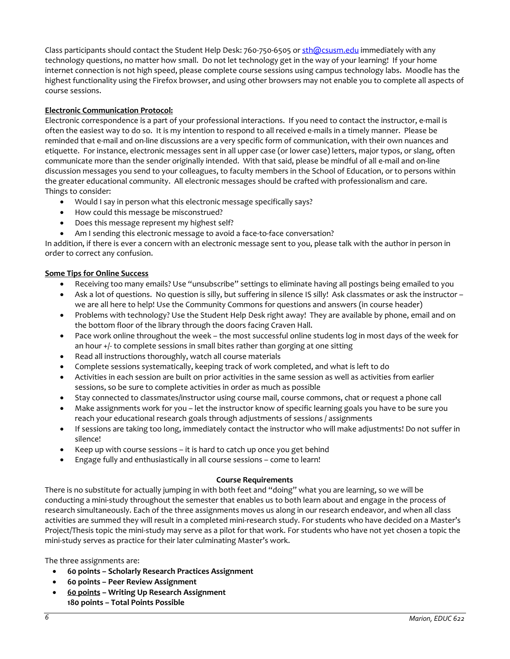Class participants should contact the Student Help Desk: 760-750-6505 or [sth@csusm.edu](mailto:sth@csusm.edu) immediately with any technology questions, no matter how small. Do not let technology get in the way of your learning! If your home internet connection is not high speed, please complete course sessions using campus technology labs. Moodle has the highest functionality using the Firefox browser, and using other browsers may not enable you to complete all aspects of course sessions.

## <span id="page-5-0"></span>**Electronic Communication Protocol:**

Electronic correspondence is a part of your professional interactions. If you need to contact the instructor, e-mail is often the easiest way to do so. It is my intention to respond to all received e-mails in a timely manner. Please be reminded that e-mail and on-line discussions are a very specific form of communication, with their own nuances and etiquette. For instance, electronic messages sent in all upper case (or lower case) letters, major typos, or slang, often communicate more than the sender originally intended. With that said, please be mindful of all e-mail and on-line discussion messages you send to your colleagues, to faculty members in the School of Education, or to persons within the greater educational community. All electronic messages should be crafted with professionalism and care. Things to consider:

- Would I say in person what this electronic message specifically says?
- How could this message be misconstrued?
- Does this message represent my highest self?
- Am I sending this electronic message to avoid a face-to-face conversation?

In addition, if there is ever a concern with an electronic message sent to you, please talk with the author in person in order to correct any confusion.

## <span id="page-5-1"></span>**Some Tips for Online Success**

- Receiving too many emails? Use "unsubscribe" settings to eliminate having all postings being emailed to you
- Ask a lot of questions. No question is silly, but suffering in silence IS silly! Ask classmates or ask the instructor we are all here to help! Use the Community Commons for questions and answers (in course header)
- Problems with technology? Use the Student Help Desk right away! They are available by phone, email and on the bottom floor of the library through the doors facing Craven Hall.
- Pace work online throughout the week the most successful online students log in most days of the week for an hour +/- to complete sessions in small bites rather than gorging at one sitting
- Read all instructions thoroughly, watch all course materials
- Complete sessions systematically, keeping track of work completed, and what is left to do
- Activities in each session are built on prior activities in the same session as well as activities from earlier sessions, so be sure to complete activities in order as much as possible
- Stay connected to classmates/instructor using course mail, course commons, chat or request a phone call
- Make assignments work for you let the instructor know of specific learning goals you have to be sure you reach your educational research goals through adjustments of sessions / assignments
- If sessions are taking too long, immediately contact the instructor who will make adjustments! Do not suffer in silence!
- Keep up with course sessions it is hard to catch up once you get behind
- Engage fully and enthusiastically in all course sessions come to learn!

## **Course Requirements**

<span id="page-5-2"></span>There is no substitute for actually jumping in with both feet and "doing" what you are learning, so we will be conducting a mini-study throughout the semester that enables us to both learn about and engage in the process of research simultaneously. Each of the three assignments moves us along in our research endeavor, and when all class activities are summed they will result in a completed mini-research study. For students who have decided on a Master's Project/Thesis topic the mini-study may serve as a pilot for that work. For students who have not yet chosen a topic the mini-study serves as practice for their later culminating Master's work.

The three assignments are:

- **60 points – Scholarly Research Practices Assignment**
- **60 points – Peer Review Assignment**
- **60 points – Writing Up Research Assignment 180 points – Total Points Possible**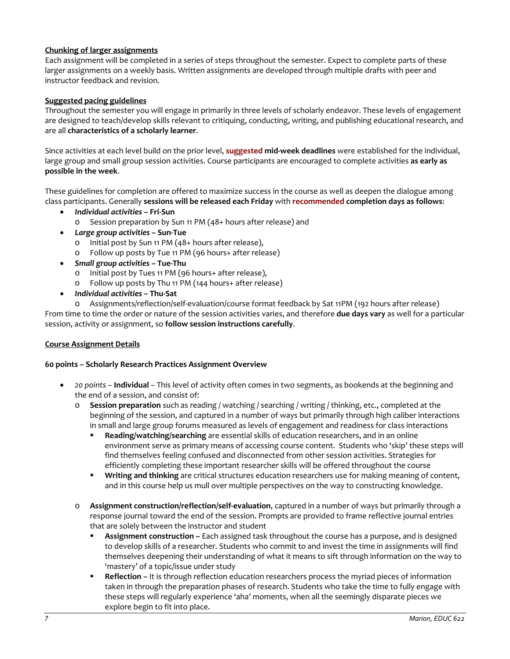# <span id="page-6-0"></span>**Chunking of larger assignments**

Each assignment will be completed in a series of steps throughout the semester. Expect to complete parts of these larger assignments on a weekly basis. Written assignments are developed through multiple drafts with peer and instructor feedback and revision.

## <span id="page-6-1"></span>**Suggested pacing guidelines**

Throughout the semester you will engage in primarily in three levels of scholarly endeavor. These levels of engagement are designed to teach/develop skills relevant to critiquing, conducting, writing, and publishing educational research, and are all **characteristics of a scholarly learner**.

Since activities at each level build on the prior level, **suggested mid-week deadlines** were established for the individual, large group and small group session activities. Course participants are encouraged to complete activities **as early as possible in the week**.

These guidelines for completion are offered to maximize success in the course as well as deepen the dialogue among class participants. Generally **sessions will be released each Friday** with **recommended completion days as follows**:

- *Individual activities* **– Fri-Sun**
	- o Session preparation by Sun 11 PM (48+ hours after release) and
- *Large group activities* **– Sun-Tue**
	- o Initial post by Sun 11 PM (48+ hours after release),
	- o Follow up posts by Tue 11 PM (96 hours+ after release)
- *Small group activities* **– Tue-Thu**
	- o Initial post by Tues 11 PM (96 hours+ after release),
	- o Follow up posts by Thu 11 PM (144 hours+ after release)
- *Individual activities* **– Thu-Sat**

o Assignments/reflection/self-evaluation/course format feedback by Sat 11PM (192 hours after release) From time to time the order or nature of the session activities varies, and therefore **due days vary** as well for a particular session, activity or assignment, so **follow session instructions carefully**.

## <span id="page-6-2"></span>**Course Assignment Details**

## **60 points – Scholarly Research Practices Assignment Overview**

- *20 points* **Individual**  This level of activity often comes in two segments, as bookends at the beginning and the end of a session, and consist of:
	- o **Session preparation** such as reading / watching / searching / writing / thinking, etc., completed at the beginning of the session, and captured in a number of ways but primarily through high caliber interactions in small and large group forums measured as levels of engagement and readiness for class interactions
		- **Reading/watching/searching** are essential skills of education researchers, and in an online environment serve as primary means of accessing course content. Students who 'skip' these steps will find themselves feeling confused and disconnected from other session activities. Strategies for efficiently completing these important researcher skills will be offered throughout the course
		- **Writing and thinking** are critical structures education researchers use for making meaning of content, and in this course help us mull over multiple perspectives on the way to constructing knowledge.
	- o **Assignment construction/reflection/self-evaluation**, captured in a number of ways but primarily through a response journal toward the end of the session. Prompts are provided to frame reflective journal entries that are solely between the instructor and student
		- **Assignment construction –** Each assigned task throughout the course has a purpose, and is designed to develop skills of a researcher. Students who commit to and invest the time in assignments will find themselves deepening their understanding of what it means to sift through information on the way to 'mastery' of a topic/issue under study
		- **Reflection –** It is through reflection education researchers process the myriad pieces of information taken in through the preparation phases of research. Students who take the time to fully engage with these steps will regularly experience 'aha' moments, when all the seemingly disparate pieces we explore begin to fit into place.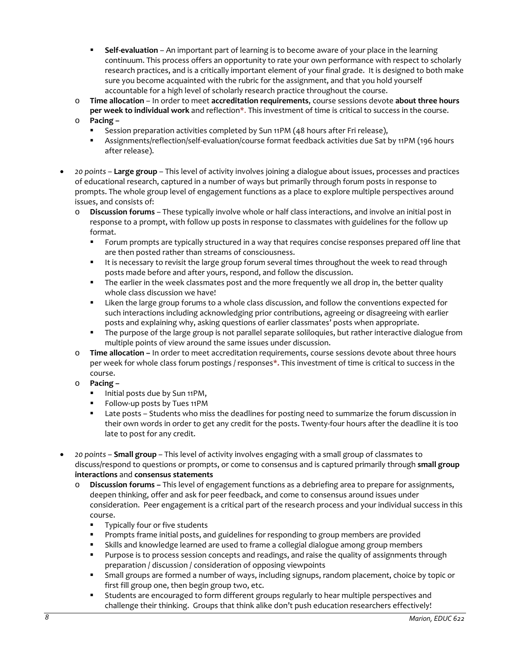- **Self-evaluation** An important part of learning is to become aware of your place in the learning continuum. This process offers an opportunity to rate your own performance with respect to scholarly research practices, and is a critically important element of your final grade. It is designed to both make sure you become acquainted with the rubric for the assignment, and that you hold yourself accountable for a high level of scholarly research practice throughout the course.
- o **Time allocation** In order to meet **accreditation requirements**, course sessions devote **about three hours per week to individual work** and reflection\*. This investment of time is critical to success in the course. o **Pacing –**
	- Session preparation activities completed by Sun 11PM (48 hours after Fri release),
		- Assignments/reflection/self-evaluation/course format feedback activities due Sat by 11PM (196 hours after release).
- *20 points* **Large group** This level of activity involves joining a dialogue about issues, processes and practices of educational research, captured in a number of ways but primarily through forum posts in response to prompts. The whole group level of engagement functions as a place to explore multiple perspectives around issues, and consists of:
	- o **Discussion forums** *–* These typically involve whole or half class interactions, and involve an initial post in response to a prompt, with follow up posts in response to classmates with guidelines for the follow up format.
		- Forum prompts are typically structured in a way that requires concise responses prepared off line that are then posted rather than streams of consciousness.
		- It is necessary to revisit the large group forum several times throughout the week to read through posts made before and after yours, respond, and follow the discussion.
		- **The earlier in the week classmates post and the more frequently we all drop in, the better quality** whole class discussion we have!
		- Liken the large group forums to a whole class discussion, and follow the conventions expected for such interactions including acknowledging prior contributions, agreeing or disagreeing with earlier posts and explaining why, asking questions of earlier classmates' posts when appropriate.
		- **The purpose of the large group is not parallel separate soliloquies, but rather interactive dialogue from** multiple points of view around the same issues under discussion.
	- o **Time allocation –** In order to meet accreditation requirements, course sessions devote about three hours per week for whole class forum postings / responses**\*.** This investment of time is critical to success in the course.
	- o **Pacing –**
		- Initial posts due by Sun 11PM,
		- Follow-up posts by Tues 11PM
		- Late posts Students who miss the deadlines for posting need to summarize the forum discussion in their own words in order to get any credit for the posts. Twenty-four hours after the deadline it is too late to post for any credit.
- *20 points* **Small group** This level of activity involves engaging with a small group of classmates to discuss/respond to questions or prompts, or come to consensus and is captured primarily through **small group interactions** and **consensus statements** 
	- o **Discussion forums –** This level of engagement functions as a debriefing area to prepare for assignments, deepen thinking, offer and ask for peer feedback, and come to consensus around issues under consideration. Peer engagement is a critical part of the research process and your individual success in this course.
		- **Typically four or five students**
		- Prompts frame initial posts, and guidelines for responding to group members are provided
		- Skills and knowledge learned are used to frame a collegial dialogue among group members
		- **Purpose is to process session concepts and readings, and raise the quality of assignments through** preparation / discussion / consideration of opposing viewpoints
		- Small groups are formed a number of ways, including signups, random placement, choice by topic or first fill group one, then begin group two, etc.
		- Students are encouraged to form different groups regularly to hear multiple perspectives and challenge their thinking. Groups that think alike don't push education researchers effectively!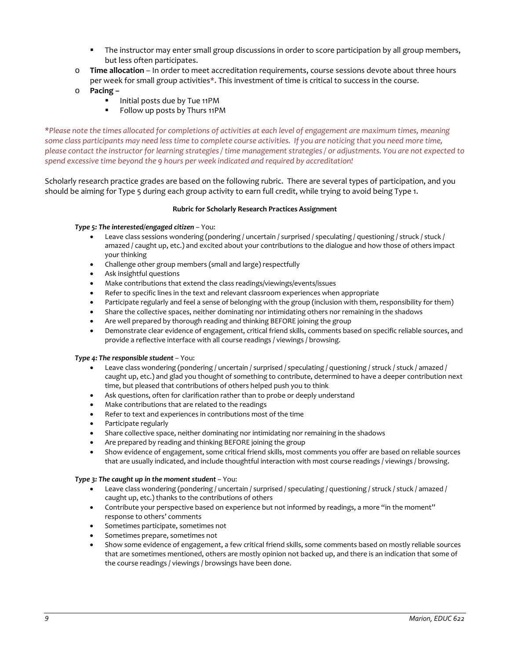- **The instructor may enter small group discussions in order to score participation by all group members,** but less often participates.
- o **Time allocation**  In order to meet accreditation requirements, course sessions devote about three hours per week for small group activities**\*.** This investment of time is critical to success in the course.
- o **Pacing –**
	- Initial posts due by Tue 11PM
	- Follow up posts by Thurs 11PM

*\*Please note the times allocated for completions of activities at each level of engagement are maximum times, meaning some class participants may need less time to complete course activities. If you are noticing that you need more time, please contact the instructor for learning strategies / time management strategies / or adjustments. You are not expected to spend excessive time beyond the 9 hours per week indicated and required by accreditation!*

Scholarly research practice grades are based on the following rubric. There are several types of participation, and you should be aiming for Type 5 during each group activity to earn full credit, while trying to avoid being Type 1.

#### **Rubric for Scholarly Research Practices Assignment**

#### *Type 5: The interested/engaged citizen* – You:

- Leave class sessions wondering (pondering / uncertain / surprised / speculating / questioning / struck / stuck / amazed / caught up, etc.) and excited about your contributions to the dialogue and how those of others impact your thinking
- Challenge other group members (small and large) respectfully
- Ask insightful questions
- Make contributions that extend the class readings/viewings/events/issues
- Refer to specific lines in the text and relevant classroom experiences when appropriate
- Participate regularly and feel a sense of belonging with the group (inclusion with them, responsibility for them)
- Share the collective spaces, neither dominating nor intimidating others nor remaining in the shadows
- Are well prepared by thorough reading and thinking BEFORE joining the group
- Demonstrate clear evidence of engagement, critical friend skills, comments based on specific reliable sources, and provide a reflective interface with all course readings / viewings / browsing.

#### *Type 4: The responsible student* – You:

- Leave class wondering (pondering / uncertain / surprised / speculating / questioning / struck / stuck / amazed / caught up, etc.) and glad you thought of something to contribute, determined to have a deeper contribution next time, but pleased that contributions of others helped push you to think
- Ask questions, often for clarification rather than to probe or deeply understand
- Make contributions that are related to the readings
- Refer to text and experiences in contributions most of the time
- Participate regularly
- Share collective space, neither dominating nor intimidating nor remaining in the shadows
- Are prepared by reading and thinking BEFORE joining the group
- Show evidence of engagement, some critical friend skills, most comments you offer are based on reliable sources that are usually indicated, and include thoughtful interaction with most course readings / viewings / browsing.

#### *Type 3: The caught up in the moment student* – You:

- Leave class wondering (pondering / uncertain / surprised / speculating / questioning / struck / stuck / amazed / caught up, etc.) thanks to the contributions of others
- Contribute your perspective based on experience but not informed by readings, a more "in the moment" response to others' comments
- Sometimes participate, sometimes not
- Sometimes prepare, sometimes not
- Show some evidence of engagement, a few critical friend skills, some comments based on mostly reliable sources that are sometimes mentioned, others are mostly opinion not backed up, and there is an indication that some of the course readings / viewings / browsings have been done.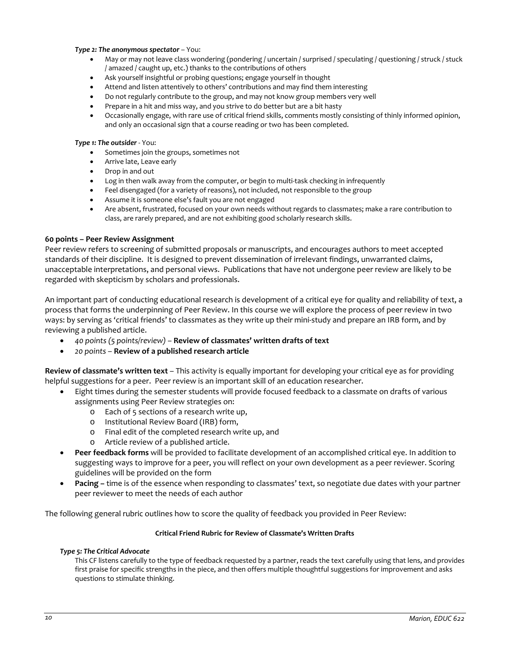#### *Type 2: The anonymous spectator* – You:

- May or may not leave class wondering (pondering / uncertain / surprised / speculating / questioning / struck / stuck / amazed / caught up, etc.) thanks to the contributions of others
- Ask yourself insightful or probing questions; engage yourself in thought
- Attend and listen attentively to others' contributions and may find them interesting
- Do not regularly contribute to the group, and may not know group members very well
- Prepare in a hit and miss way, and you strive to do better but are a bit hasty
- Occasionally engage, with rare use of critical friend skills, comments mostly consisting of thinly informed opinion, and only an occasional sign that a course reading or two has been completed.

#### *Type 1: The outsider* - You:

- Sometimes join the groups, sometimes not
- Arrive late, Leave early
- Drop in and out
- Log in then walk away from the computer, or begin to multi-task checking in infrequently
- Feel disengaged (for a variety of reasons), not included, not responsible to the group
- Assume it is someone else's fault you are not engaged
- Are absent, frustrated, focused on your own needs without regards to classmates; make a rare contribution to class, are rarely prepared, and are not exhibiting good scholarly research skills.

#### **60 points – Peer Review Assignment**

Peer review refers to screening of submitted proposals or manuscripts, and encourages authors to meet accepted standards of their discipline. It is designed to prevent dissemination of irrelevant findings, unwarranted claims, unacceptable interpretations, and personal views. Publications that have not undergone peer review are likely to be regarded with skepticism by scholars and professionals.

An important part of conducting educational research is development of a critical eye for quality and reliability of text, a process that forms the underpinning of Peer Review. In this course we will explore the process of peer review in two ways: by serving as 'critical friends' to classmates as they write up their mini-study and prepare an IRB form, and by reviewing a published article.

- *40 points (5 points/review) –* **Review of classmates' written drafts of text**
- *20 points* **Review of a published research article**

**Review of classmate's written text** – This activity is equally important for developing your critical eye as for providing helpful suggestions for a peer. Peer review is an important skill of an education researcher.

- Eight times during the semester students will provide focused feedback to a classmate on drafts of various assignments using Peer Review strategies on:
	- o Each of 5 sections of a research write up,
	- o Institutional Review Board (IRB) form,
	- o Final edit of the completed research write up, and
	- o Article review of a published article.
- **Peer feedback forms** will be provided to facilitate development of an accomplished critical eye. In addition to suggesting ways to improve for a peer, you will reflect on your own development as a peer reviewer. Scoring guidelines will be provided on the form
- **Pacing –** time is of the essence when responding to classmates' text, so negotiate due dates with your partner peer reviewer to meet the needs of each author

The following general rubric outlines how to score the quality of feedback you provided in Peer Review:

#### **Critical Friend Rubric for Review of Classmate's Written Drafts**

#### *Type 5: The Critical Advocate*

This CF listens carefully to the type of feedback requested by a partner, reads the text carefully using that lens, and provides first praise for specific strengths in the piece, and then offers multiple thoughtful suggestions for improvement and asks questions to stimulate thinking.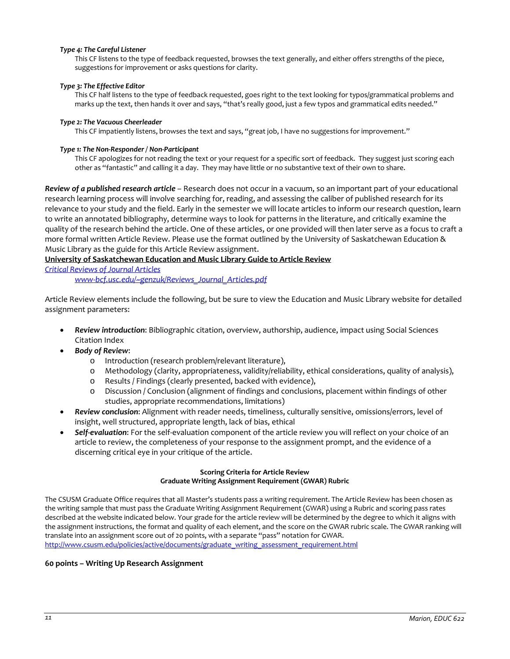#### *Type 4: The Careful Listener*

This CF listens to the type of feedback requested, browses the text generally, and either offers strengths of the piece, suggestions for improvement or asks questions for clarity.

#### *Type 3: The Effective Editor*

This CF half listens to the type of feedback requested, goes right to the text looking for typos/grammatical problems and marks up the text, then hands it over and says, "that's really good, just a few typos and grammatical edits needed."

#### *Type 2: The Vacuous Cheerleader*

This CF impatiently listens, browses the text and says, "great job, I have no suggestions for improvement."

#### *Type 1: The Non-Responder / Non-Participant*

This CF apologizes for not reading the text or your request for a specific sort of feedback. They suggest just scoring each other as "fantastic" and calling it a day. They may have little or no substantive text of their own to share.

*Review of a published research article* – Research does not occur in a vacuum, so an important part of your educational research learning process will involve searching for, reading, and assessing the caliber of published research for its relevance to your study and the field. Early in the semester we will locate articles to inform our research question, learn to write an annotated bibliography, determine ways to look for patterns in the literature, and critically examine the quality of the research behind the article. One of these articles, or one provided will then later serve as a focus to craft a more formal written Article Review. Please use the format outlined by the University of Saskatchewan Education & Music Library as the guide for this Article Review assignment.

## <span id="page-10-0"></span>**University of Saskatchewan Education and Music Library Guide to Article Review**

<span id="page-10-1"></span>*[Critical Reviews of Journal Articles](http://www-bcf.usc.edu/~genzuk/Reviews_Journal_Articles.pdf)*

*www-bcf.usc.edu/~genzuk/Reviews\_Journal\_Articles.pdf*

Article Review elements include the following, but be sure to view the Education and Music Library website for detailed assignment parameters:

- *Review introduction*: Bibliographic citation, overview, authorship, audience, impact using Social Sciences Citation Index
- *Body of Review*:
	- o Introduction (research problem/relevant literature),
	- o Methodology (clarity, appropriateness, validity/reliability, ethical considerations, quality of analysis), o<br>
	o Results / Findings (clearly presented, backed with evidence).
	- Results / Findings (clearly presented, backed with evidence),
	- o Discussion / Conclusion (alignment of findings and conclusions, placement within findings of other studies, appropriate recommendations, limitations)
- *Review conclusion*: Alignment with reader needs, timeliness, culturally sensitive, omissions/errors, level of insight, well structured, appropriate length, lack of bias, ethical
- *Self-evaluation*: For the self-evaluation component of the article review you will reflect on your choice of an article to review, the completeness of your response to the assignment prompt, and the evidence of a discerning critical eye in your critique of the article.

## **Scoring Criteria for Article Review Graduate Writing Assignment Requirement (GWAR) Rubric**

The CSUSM Graduate Office requires that all Master's students pass a writing requirement. The Article Review has been chosen as the writing sample that must pass the Graduate Writing Assignment Requirement (GWAR) using a Rubric and scoring pass rates described at the website indicated below. Your grade for the article review will be determined by the degree to which it aligns with the assignment instructions, the format and quality of each element, and the score on the GWAR rubric scale. The GWAR ranking will translate into an assignment score out of 20 points, with a separate "pass" notation for GWAR. [http://www.csusm.edu/policies/active/documents/graduate\\_writing\\_assessment\\_requirement.html](http://www.csusm.edu/policies/active/documents/graduate_writing_assessment_requirement.html)

**60 points – Writing Up Research Assignment**

#### *11 Marion, EDUC 622*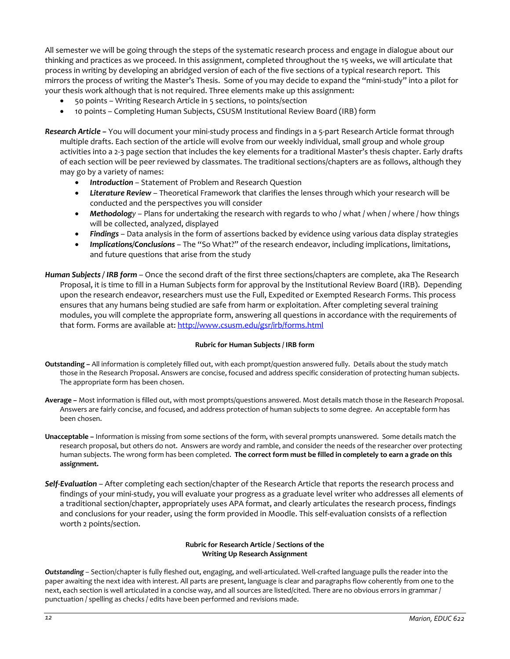All semester we will be going through the steps of the systematic research process and engage in dialogue about our thinking and practices as we proceed. In this assignment, completed throughout the 15 weeks, we will articulate that process in writing by developing an abridged version of each of the five sections of a typical research report. This mirrors the process of writing the Master's Thesis. Some of you may decide to expand the "mini-study" into a pilot for your thesis work although that is not required. Three elements make up this assignment:

- 50 points Writing Research Article in 5 sections, 10 points/section
- 10 points Completing Human Subjects, CSUSM Institutional Review Board (IRB) form
- *Research Article –* You will document your mini-study process and findings in a 5-part Research Article format through multiple drafts. Each section of the article will evolve from our weekly individual, small group and whole group activities into a 2-3 page section that includes the key elements for a traditional Master's thesis chapter. Early drafts of each section will be peer reviewed by classmates. The traditional sections/chapters are as follows, although they may go by a variety of names:
	- *Introduction* Statement of Problem and Research Question
	- *Literature Review* Theoretical Framework that clarifies the lenses through which your research will be conducted and the perspectives you will consider
	- *Methodology* Plans for undertaking the research with regards to who / what / when / where / how things will be collected, analyzed, displayed
	- *Findings* Data analysis in the form of assertions backed by evidence using various data display strategies
	- *Implications/Conclusions* The "So What?" of the research endeavor, including implications, limitations, and future questions that arise from the study
- *Human Subjects / IRB form* Once the second draft of the first three sections/chapters are complete, aka The Research Proposal, it is time to fill in a Human Subjects form for approval by the Institutional Review Board (IRB). Depending upon the research endeavor, researchers must use the Full, Expedited or Exempted Research Forms. This process ensures that any humans being studied are safe from harm or exploitation. After completing several training modules, you will complete the appropriate form, answering all questions in accordance with the requirements of that form. Forms are available at[: http://www.csusm.edu/gsr/irb/forms.html](http://www.csusm.edu/gsr/irb/forms.html)

#### **Rubric for Human Subjects / IRB form**

- **Outstanding –** All information is completely filled out, with each prompt/question answered fully. Details about the study match those in the Research Proposal. Answers are concise, focused and address specific consideration of protecting human subjects. The appropriate form has been chosen.
- **Average –** Most information is filled out, with most prompts/questions answered. Most details match those in the Research Proposal. Answers are fairly concise, and focused, and address protection of human subjects to some degree. An acceptable form has been chosen.
- **Unacceptable –** Information is missing from some sections of the form, with several prompts unanswered. Some details match the research proposal, but others do not. Answers are wordy and ramble, and consider the needs of the researcher over protecting human subjects. The wrong form has been completed. **The correct form must be filled in completely to earn a grade on this assignment.**
- *Self-Evaluation* After completing each section/chapter of the Research Article that reports the research process and findings of your mini-study, you will evaluate your progress as a graduate level writer who addresses all elements of a traditional section/chapter, appropriately uses APA format, and clearly articulates the research process, findings and conclusions for your reader, using the form provided in Moodle. This self-evaluation consists of a reflection worth 2 points/section.

#### **Rubric for Research Article / Sections of the Writing Up Research Assignment**

*Outstanding* – Section/chapter is fully fleshed out, engaging, and well-articulated. Well-crafted language pulls the reader into the paper awaiting the next idea with interest. All parts are present, language is clear and paragraphs flow coherently from one to the next, each section is well articulated in a concise way, and all sources are listed/cited. There are no obvious errors in grammar / punctuation / spelling as checks / edits have been performed and revisions made.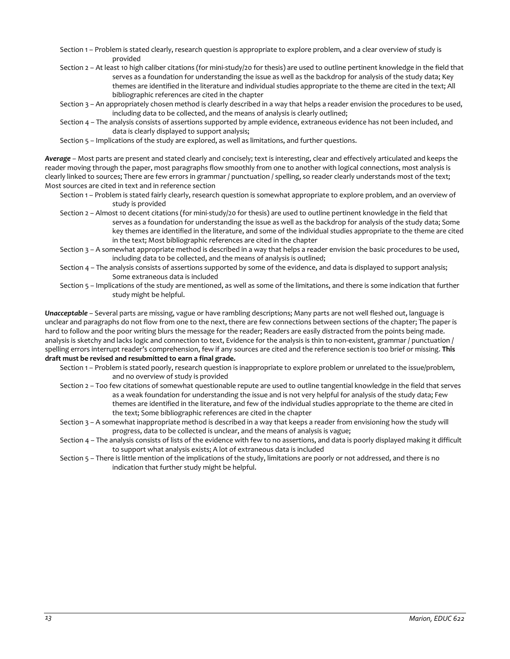- Section 1 Problem is stated clearly, research question is appropriate to explore problem, and a clear overview of study is provided
- Section 2 At least 10 high caliber citations (for mini-study/20 for thesis) are used to outline pertinent knowledge in the field that serves as a foundation for understanding the issue as well as the backdrop for analysis of the study data; Key themes are identified in the literature and individual studies appropriate to the theme are cited in the text; All bibliographic references are cited in the chapter
- Section 3 An appropriately chosen method is clearly described in a way that helps a reader envision the procedures to be used, including data to be collected, and the means of analysis is clearly outlined;
- Section 4 The analysis consists of assertions supported by ample evidence, extraneous evidence has not been included, and data is clearly displayed to support analysis;
- Section 5 Implications of the study are explored, as well as limitations, and further questions.

*Average* – Most parts are present and stated clearly and concisely; text is interesting, clear and effectively articulated and keeps the reader moving through the paper, most paragraphs flow smoothly from one to another with logical connections, most analysis is clearly linked to sources; There are few errors in grammar / punctuation / spelling, so reader clearly understands most of the text; Most sources are cited in text and in reference section

- Section 1 Problem is stated fairly clearly, research question is somewhat appropriate to explore problem, and an overview of study is provided
- Section 2 Almost 10 decent citations (for mini-study/20 for thesis) are used to outline pertinent knowledge in the field that serves as a foundation for understanding the issue as well as the backdrop for analysis of the study data; Some key themes are identified in the literature, and some of the individual studies appropriate to the theme are cited in the text; Most bibliographic references are cited in the chapter
- Section 3 A somewhat appropriate method is described in a way that helps a reader envision the basic procedures to be used, including data to be collected, and the means of analysis is outlined;
- Section 4 The analysis consists of assertions supported by some of the evidence, and data is displayed to support analysis; Some extraneous data is included
- Section 5 Implications of the study are mentioned, as well as some of the limitations, and there is some indication that further study might be helpful.

*Unacceptable* – Several parts are missing, vague or have rambling descriptions; Many parts are not well fleshed out, language is unclear and paragraphs do not flow from one to the next, there are few connections between sections of the chapter; The paper is hard to follow and the poor writing blurs the message for the reader; Readers are easily distracted from the points being made. analysis is sketchy and lacks logic and connection to text, Evidence for the analysis is thin to non-existent, grammar / punctuation / spelling errors interrupt reader's comprehension, few if any sources are cited and the reference section is too brief or missing. **This draft must be revised and resubmitted to earn a final grade.**

- Section 1 Problem is stated poorly, research question is inappropriate to explore problem or unrelated to the issue/problem, and no overview of study is provided
- Section 2 Too few citations of somewhat questionable repute are used to outline tangential knowledge in the field that serves as a weak foundation for understanding the issue and is not very helpful for analysis of the study data; Few themes are identified in the literature, and few of the individual studies appropriate to the theme are cited in the text; Some bibliographic references are cited in the chapter
- Section 3 A somewhat inappropriate method is described in a way that keeps a reader from envisioning how the study will progress, data to be collected is unclear, and the means of analysis is vague;
- Section 4 The analysis consists of lists of the evidence with few to no assertions, and data is poorly displayed making it difficult to support what analysis exists; A lot of extraneous data is included
- <span id="page-12-0"></span>Section 5 – There is little mention of the implications of the study, limitations are poorly or not addressed, and there is no indication that further study might be helpful.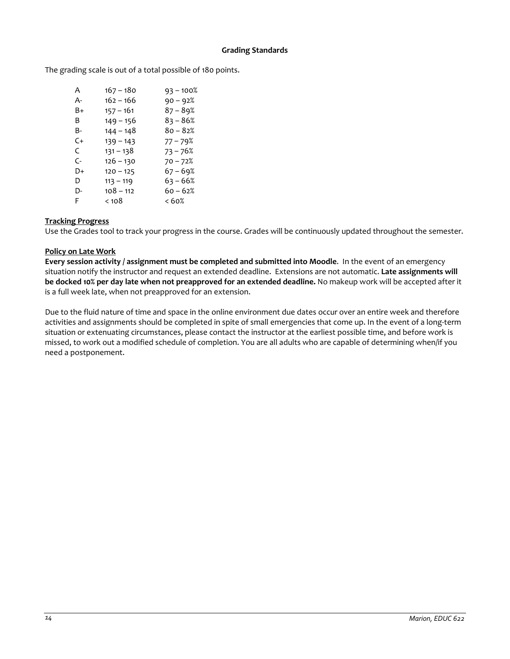## **Grading Standards**

The grading scale is out of a total possible of 180 points.

| A                    | 167 – 180   | $93 - 100%$ |
|----------------------|-------------|-------------|
| А-                   | 162 – 166   | $90 - 92%$  |
| B+                   | $157 - 161$ | $87 - 89%$  |
| B                    | $149 - 156$ | $83 - 86%$  |
| B-                   | 144 – 148   | 80 – 82%    |
| C+                   | $139 - 143$ | 77 – 79%    |
| C                    | 131 – 138   | $73 - 76%$  |
| $\mathsf{C}\text{-}$ | $126 - 130$ | $70 - 72%$  |
| D+                   | $120 - 125$ | $67 - 69%$  |
| D                    | $113 - 119$ | $63 - 66%$  |
| D-                   | $108 - 112$ | $60 - 62%$  |
| F                    | $<$ 10 $8$  | < 60%       |

## <span id="page-13-0"></span>**Tracking Progress**

Use the Grades tool to track your progress in the course. Grades will be continuously updated throughout the semester.

## <span id="page-13-1"></span>**Policy on Late Work**

**Every session activity / assignment must be completed and submitted into Moodle**. In the event of an emergency situation notify the instructor and request an extended deadline. Extensions are not automatic. **Late assignments will be docked 10% per day late when not preapproved for an extended deadline.** No makeup work will be accepted after it is a full week late, when not preapproved for an extension.

Due to the fluid nature of time and space in the online environment due dates occur over an entire week and therefore activities and assignments should be completed in spite of small emergencies that come up. In the event of a long-term situation or extenuating circumstances, please contact the instructor at the earliest possible time, and before work is missed, to work out a modified schedule of completion. You are all adults who are capable of determining when/if you need a postponement.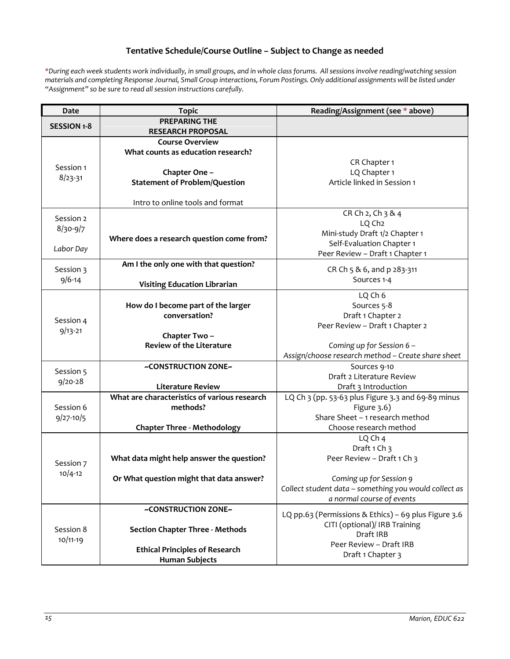# **Tentative Schedule/Course Outline – Subject to Change as needed**

<span id="page-14-0"></span>*\*During each week students work individually, in small groups, and in whole class forums. All sessions involve reading/watching session materials and completing Response Journal, Small Group interactions, Forum Postings. Only additional assignments will be listed under "Assignment" so be sure to read all session instructions carefully.*

| Date                     | <b>Topic</b>                                             | Reading/Assignment (see * above)                                                 |
|--------------------------|----------------------------------------------------------|----------------------------------------------------------------------------------|
| <b>SESSION 1-8</b>       | <b>PREPARING THE</b><br><b>RESEARCH PROPOSAL</b>         |                                                                                  |
|                          | <b>Course Overview</b>                                   |                                                                                  |
|                          | What counts as education research?                       |                                                                                  |
| Session 1                |                                                          | CR Chapter 1                                                                     |
| $8/23 - 31$              | Chapter One -                                            | LQ Chapter 1<br>Article linked in Session 1                                      |
|                          | <b>Statement of Problem/Question</b>                     |                                                                                  |
|                          | Intro to online tools and format                         |                                                                                  |
| Session 2                |                                                          | CR Ch 2, Ch 3 & 4                                                                |
| $8/30 - 9/7$             |                                                          | LQ Ch <sub>2</sub>                                                               |
|                          | Where does a research question come from?                | Mini-study Draft 1/2 Chapter 1                                                   |
| Labor Day                |                                                          | Self-Evaluation Chapter 1                                                        |
|                          | Am I the only one with that question?                    | Peer Review - Draft 1 Chapter 1                                                  |
| Session 3                |                                                          | CR Ch 5 & 6, and p 283-311                                                       |
| $9/6 - 14$               | <b>Visiting Education Librarian</b>                      | Sources 1-4                                                                      |
|                          |                                                          | LQ Ch 6                                                                          |
|                          | How do I become part of the larger                       | Sources 5-8                                                                      |
|                          | conversation?                                            | Draft 1 Chapter 2                                                                |
| Session 4<br>$9/13 - 21$ |                                                          | Peer Review - Draft 1 Chapter 2                                                  |
|                          | Chapter Two-                                             |                                                                                  |
|                          | <b>Review of the Literature</b>                          | Coming up for Session 6 -                                                        |
|                          |                                                          | Assign/choose research method - Create share sheet                               |
| Session 5                | ~CONSTRUCTION ZONE~                                      | Sources 9-10                                                                     |
| $9/20 - 28$              |                                                          | Draft 2 Literature Review                                                        |
|                          | <b>Literature Review</b>                                 | Draft 3 Introduction                                                             |
| Session 6                | What are characteristics of various research<br>methods? | LQ Ch 3 (pp. 53-63 plus Figure 3.3 and 69-89 minus                               |
| $9/27 - 10/5$            |                                                          | Figure $3.6$ )<br>Share Sheet - 1 research method                                |
|                          | <b>Chapter Three - Methodology</b>                       | Choose research method                                                           |
|                          |                                                          | LQ Ch 4                                                                          |
|                          |                                                          | Draft 1 Ch 3                                                                     |
| Session 7                | What data might help answer the question?                | Peer Review - Draft 1 Ch 3                                                       |
| $10/4 - 12$              | Or What question might that data answer?                 |                                                                                  |
|                          |                                                          | Coming up for Session 9<br>Collect student data - something you would collect as |
|                          |                                                          | a normal course of events                                                        |
| Session 8<br>$10/11-19$  | ~CONSTRUCTION ZONE~                                      | LQ pp.63 (Permissions & Ethics) - 69 plus Figure 3.6                             |
|                          |                                                          | CITI (optional)/ IRB Training                                                    |
|                          | <b>Section Chapter Three - Methods</b>                   | Draft IRB                                                                        |
|                          |                                                          | Peer Review - Draft IRB                                                          |
|                          | <b>Ethical Principles of Research</b>                    | Draft 1 Chapter 3                                                                |
|                          | <b>Human Subjects</b>                                    |                                                                                  |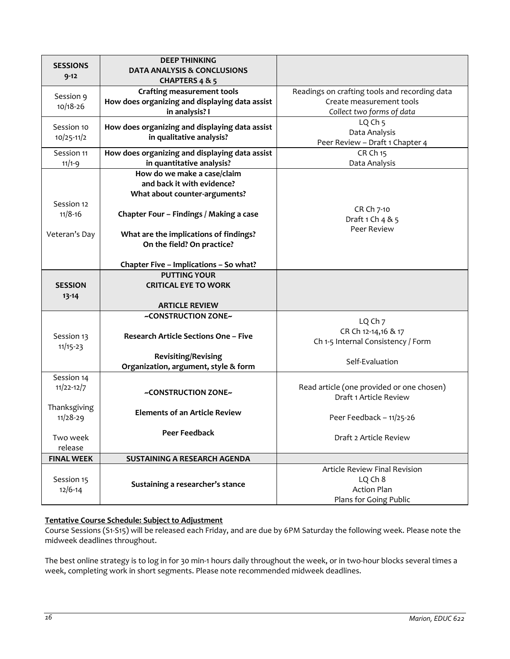| <b>SESSIONS</b><br>$9 - 12$  | <b>DEEP THINKING</b><br><b>DATA ANALYSIS &amp; CONCLUSIONS</b><br>CHAPTERS 4 & 5                      |                                                                                                        |
|------------------------------|-------------------------------------------------------------------------------------------------------|--------------------------------------------------------------------------------------------------------|
| Session 9<br>$10/18 - 26$    | <b>Crafting measurement tools</b><br>How does organizing and displaying data assist<br>in analysis? I | Readings on crafting tools and recording data<br>Create measurement tools<br>Collect two forms of data |
| Session 10<br>$10/25-11/2$   | How does organizing and displaying data assist<br>in qualitative analysis?                            | LQ Ch <sub>5</sub><br>Data Analysis<br>Peer Review - Draft 1 Chapter 4                                 |
| Session 11<br>$11/1 - 9$     | How does organizing and displaying data assist<br>in quantitative analysis?                           | CR Ch 15<br>Data Analysis                                                                              |
|                              | How do we make a case/claim<br>and back it with evidence?<br>What about counter-arguments?            |                                                                                                        |
| Session 12<br>$11/8 - 16$    | Chapter Four - Findings / Making a case                                                               | CR Ch 7-10<br>Draft 1 Ch 4 & 5                                                                         |
| Veteran's Day                | What are the implications of findings?<br>On the field? On practice?                                  | Peer Review                                                                                            |
|                              | Chapter Five - Implications - So what?                                                                |                                                                                                        |
| <b>SESSION</b><br>$13 - 14$  | <b>PUTTING YOUR</b><br><b>CRITICAL EYE TO WORK</b>                                                    |                                                                                                        |
|                              | <b>ARTICLE REVIEW</b>                                                                                 |                                                                                                        |
| Session 13<br>$11/15 - 23$   | ~CONSTRUCTION ZONE~<br><b>Research Article Sections One - Five</b>                                    | LQ Ch 7<br>CR Ch 12-14,16 & 17<br>Ch 1-5 Internal Consistency / Form                                   |
|                              | <b>Revisiting/Revising</b><br>Organization, argument, style & form                                    | Self-Evaluation                                                                                        |
| Session 14<br>$11/22 - 12/7$ | ~CONSTRUCTION ZONE~                                                                                   | Read article (one provided or one chosen)<br>Draft 1 Article Review                                    |
| Thanksgiving<br>$11/28 - 29$ | <b>Elements of an Article Review</b>                                                                  | Peer Feedback - 11/25-26                                                                               |
| Two week<br>release          | <b>Peer Feedback</b>                                                                                  | Draft 2 Article Review                                                                                 |
| <b>FINAL WEEK</b>            | SUSTAINING A RESEARCH AGENDA                                                                          |                                                                                                        |
| Session 15<br>$12/6 - 14$    | Sustaining a researcher's stance                                                                      | <b>Article Review Final Revision</b><br>LQ Ch 8<br><b>Action Plan</b><br>Plans for Going Public        |

# <span id="page-15-0"></span>**Tentative Course Schedule: Subject to Adjustment**

Course Sessions (S1-S15) will be released each Friday, and are due by 6PM Saturday the following week. Please note the midweek deadlines throughout.

The best online strategy is to log in for 30 min-1 hours daily throughout the week, or in two-hour blocks several times a week, completing work in short segments. Please note recommended midweek deadlines.